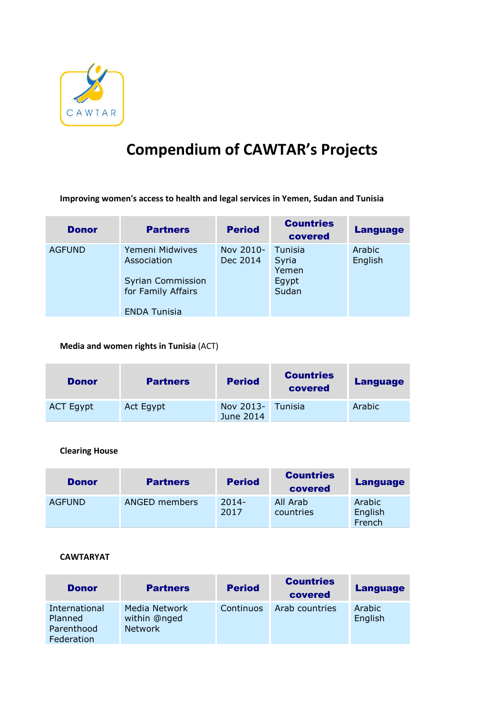

# Compendium of CAWTAR's Projects

Improving women's access to health and legal services in Yemen, Sudan and Tunisia

| <b>Donor</b>  | <b>Partners</b>                                                                                         | <b>Period</b>         | <b>Countries</b><br>covered                 | <b>Language</b>   |
|---------------|---------------------------------------------------------------------------------------------------------|-----------------------|---------------------------------------------|-------------------|
| <b>AGFUND</b> | Yemeni Midwives<br>Association<br><b>Syrian Commission</b><br>for Family Affairs<br><b>ENDA Tunisia</b> | Nov 2010-<br>Dec 2014 | Tunisia<br>Syria<br>Yemen<br>Egypt<br>Sudan | Arabic<br>English |

# Media and women rights in Tunisia (ACT)

| <b>Donor</b>     | <b>Partners</b> | <b>Period</b>                  | <b>Countries</b><br>covered | <b>Language</b> |
|------------------|-----------------|--------------------------------|-----------------------------|-----------------|
| <b>ACT Egypt</b> | Act Egypt       | Nov 2013- Tunisia<br>June 2014 |                             | Arabic          |

### Clearing House

| <b>Donor</b>  | <b>Partners</b> | <b>Period</b>    | <b>Countries</b><br>covered | <b>Language</b>             |
|---------------|-----------------|------------------|-----------------------------|-----------------------------|
| <b>AGFUND</b> | ANGED members   | $2014 -$<br>2017 | All Arab<br>countries       | Arabic<br>English<br>French |

#### CAWTARYAT

| <b>Donor</b>                                         | <b>Partners</b>                          | <b>Period</b> | <b>Countries</b><br>covered | <b>Language</b>   |
|------------------------------------------------------|------------------------------------------|---------------|-----------------------------|-------------------|
| International<br>Planned<br>Parenthood<br>Federation | Media Network<br>within @nged<br>Network | Continuos     | Arab countries              | Arabic<br>English |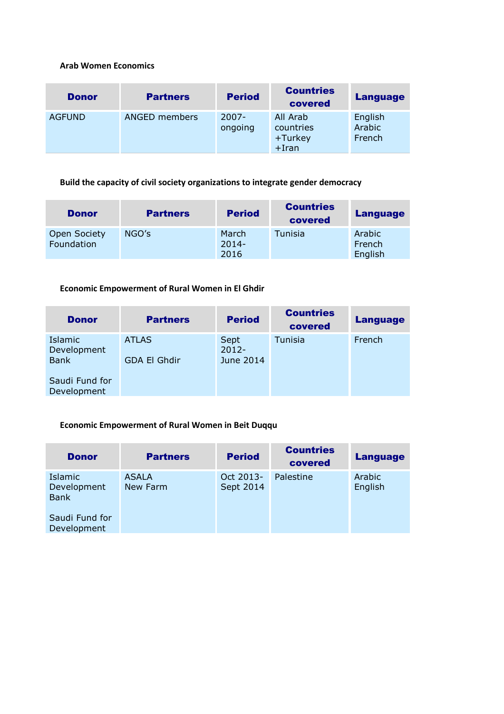### Arab Women Economics

| <b>Donor</b>  | <b>Partners</b> | <b>Period</b>       | <b>Countries</b><br>covered                  | <b>Language</b>             |
|---------------|-----------------|---------------------|----------------------------------------------|-----------------------------|
| <b>AGFUND</b> | ANGED members   | $2007 -$<br>ongoing | All Arab<br>countries<br>+Turkey<br>$+$ Iran | English<br>Arabic<br>French |

# Build the capacity of civil society organizations to integrate gender democracy

| <b>Donor</b>                      | <b>Partners</b> | <b>Period</b>             | <b>Countries</b><br>covered | <b>Language</b>             |
|-----------------------------------|-----------------|---------------------------|-----------------------------|-----------------------------|
| <b>Open Society</b><br>Foundation | NGO's           | March<br>$2014 -$<br>2016 | Tunisia                     | Arabic<br>French<br>English |

# Economic Empowerment of Rural Women in El Ghdir

| <b>Donor</b>                          | <b>Partners</b>              | <b>Period</b>                 | <b>Countries</b><br>covered | <b>Language</b> |
|---------------------------------------|------------------------------|-------------------------------|-----------------------------|-----------------|
| Islamic<br>Development<br><b>Bank</b> | <b>ATLAS</b><br>GDA El Ghdir | Sept<br>$2012 -$<br>June 2014 | Tunisia                     | French          |
| Saudi Fund for<br>Development         |                              |                               |                             |                 |

# Economic Empowerment of Rural Women in Beit Duqqu

| <b>Donor</b>                                 | <b>Partners</b>          | <b>Period</b>          | <b>Countries</b><br>covered | <b>Language</b>   |
|----------------------------------------------|--------------------------|------------------------|-----------------------------|-------------------|
| <b>Islamic</b><br>Development<br><b>Bank</b> | <b>ASALA</b><br>New Farm | Oct 2013-<br>Sept 2014 | Palestine                   | Arabic<br>English |
| Saudi Fund for<br>Development                |                          |                        |                             |                   |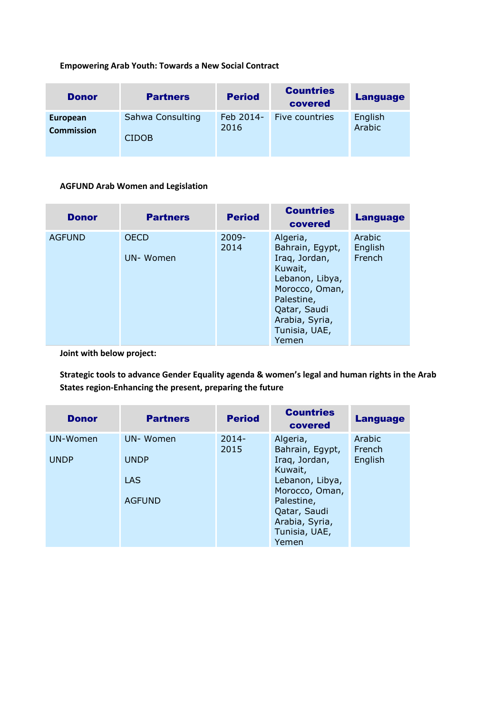# Empowering Arab Youth: Towards a New Social Contract

| <b>Donor</b>      | <b>Partners</b>  | <b>Period</b> | <b>Countries</b><br>covered | Language |
|-------------------|------------------|---------------|-----------------------------|----------|
| European          | Sahwa Consulting | Feb 2014-     | Five countries              | English  |
| <b>Commission</b> | <b>CIDOB</b>     | 2016          |                             | Arabic   |

# AGFUND Arab Women and Legislation

| <b>Donor</b>  | <b>Partners</b>         | <b>Period</b>    | <b>Countries</b><br>covered                                                                                                                                            | <b>Language</b>             |
|---------------|-------------------------|------------------|------------------------------------------------------------------------------------------------------------------------------------------------------------------------|-----------------------------|
| <b>AGFUND</b> | <b>OECD</b><br>UN-Women | $2009 -$<br>2014 | Algeria,<br>Bahrain, Egypt,<br>Iraq, Jordan,<br>Kuwait,<br>Lebanon, Libya,<br>Morocco, Oman,<br>Palestine,<br>Qatar, Saudi<br>Arabia, Syria,<br>Tunisia, UAE,<br>Yemen | Arabic<br>English<br>French |

Joint with below project:

Strategic tools to advance Gender Equality agenda & women's legal and human rights in the Arab States region-Enhancing the present, preparing the future

| <b>Donor</b> | <b>Partners</b> | <b>Period</b>    | <b>Countries</b><br>covered       | <b>Language</b>  |
|--------------|-----------------|------------------|-----------------------------------|------------------|
| UN-Women     | UN-Women        | $2014 -$<br>2015 | Algeria,<br>Bahrain, Egypt,       | Arabic<br>French |
| <b>UNDP</b>  | <b>UNDP</b>     |                  | Iraq, Jordan,<br>Kuwait,          | English          |
|              | <b>LAS</b>      |                  | Lebanon, Libya,<br>Morocco, Oman, |                  |
|              | <b>AGFUND</b>   |                  | Palestine,<br>Qatar, Saudi        |                  |
|              |                 |                  | Arabia, Syria,<br>Tunisia, UAE,   |                  |
|              |                 |                  | Yemen                             |                  |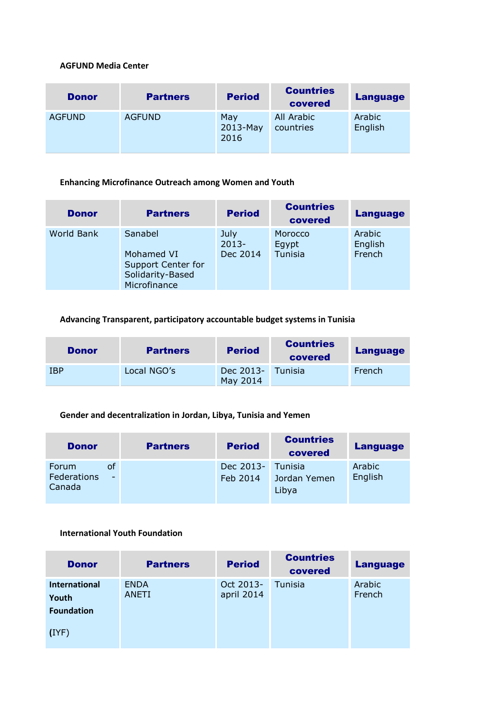### AGFUND Media Center

| <b>Donor</b>  | <b>Partners</b> | <b>Period</b>              | <b>Countries</b><br>covered | <b>Language</b>   |
|---------------|-----------------|----------------------------|-----------------------------|-------------------|
| <b>AGFUND</b> | <b>AGFUND</b>   | May<br>$2013$ -May<br>2016 | All Arabic<br>countries     | Arabic<br>English |

#### Enhancing Microfinance Outreach among Women and Youth

| <b>Donor</b>      | <b>Partners</b>                                                                 | <b>Period</b>                | <b>Countries</b><br>covered | <b>Language</b>             |
|-------------------|---------------------------------------------------------------------------------|------------------------------|-----------------------------|-----------------------------|
| <b>World Bank</b> | Sanabel<br>Mohamed VI<br>Support Center for<br>Solidarity-Based<br>Microfinance | July<br>$2013 -$<br>Dec 2014 | Morocco<br>Egypt<br>Tunisia | Arabic<br>English<br>French |

# Advancing Transparent, participatory accountable budget systems in Tunisia

| <b>Donor</b> | <b>Partners</b> | <b>Period</b>                 | <b>Countries</b><br>covered | <b>Language</b> |
|--------------|-----------------|-------------------------------|-----------------------------|-----------------|
| <b>IBP</b>   | Local NGO's     | Dec 2013- Tunisia<br>May 2014 |                             | <b>French</b>   |

### Gender and decentralization in Jordan, Libya, Tunisia and Yemen

| <b>Donor</b>                                     | <b>Partners</b> | <b>Period</b>         | <b>Countries</b><br>covered      | <b>Language</b>   |
|--------------------------------------------------|-----------------|-----------------------|----------------------------------|-------------------|
| οf<br><b>Forum</b><br>Federations<br>٠<br>Canada |                 | Dec 2013-<br>Feb 2014 | Tunisia<br>Jordan Yemen<br>Libya | Arabic<br>English |

## International Youth Foundation

| <b>Donor</b>                  | <b>Partners</b>             | <b>Period</b>           | <b>Countries</b><br>covered | <b>Language</b>  |
|-------------------------------|-----------------------------|-------------------------|-----------------------------|------------------|
| <b>International</b><br>Youth | <b>ENDA</b><br><b>ANETI</b> | Oct 2013-<br>april 2014 | Tunisia                     | Arabic<br>French |
| <b>Foundation</b><br>(IYP)    |                             |                         |                             |                  |